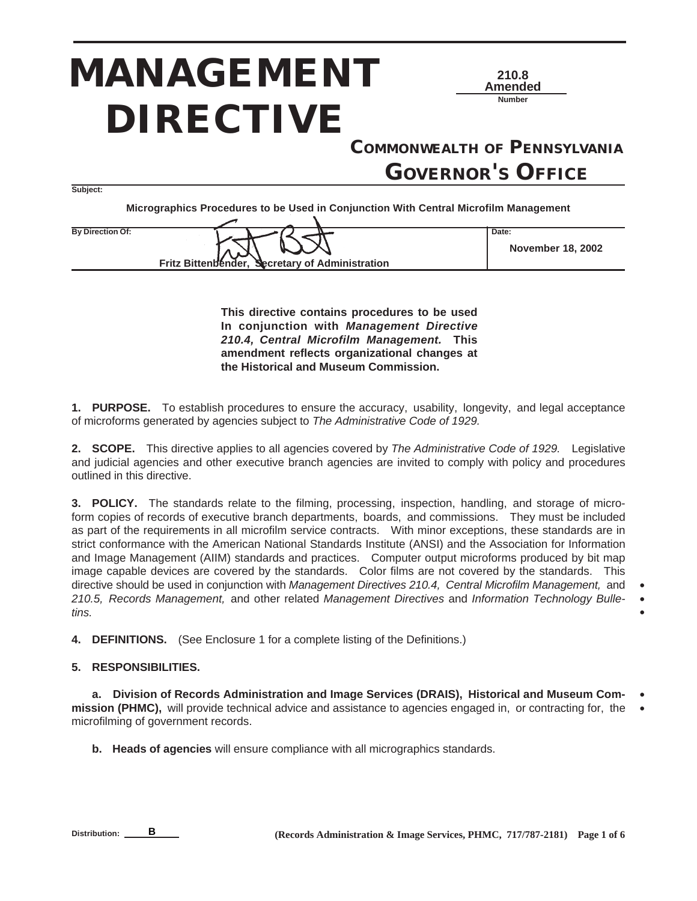# *MANAGEMENT DIRECTIVE*



**• • •**

*COMMONWEALTH OF PENNSYLVANIA GOVERNOR'S OFFICE*

**Subject:**

**Micrographics Procedures to be Used in Conjunction With Central Microfilm Management**

**By Direction Of: Date: Date: Date: Fritz Bittenbender, Secretary of Administration November 18, 2002**

**This directive contains procedures to be used In conjunction with Management Directive 210.4, Central Microfilm Management. This amendment reflects organizational changes at the Historical and Museum Commission.**

**1. PURPOSE.** To establish procedures to ensure the accuracy, usability, longevity, and legal acceptance of microforms generated by agencies subject to The Administrative Code of 1929.

2. SCOPE. This directive applies to all agencies covered by The Administrative Code of 1929. Legislative and judicial agencies and other executive branch agencies are invited to comply with policy and procedures outlined in this directive.

**3. POLICY.** The standards relate to the filming, processing, inspection, handling, and storage of microform copies of records of executive branch departments, boards, and commissions. They must be included as part of the requirements in all microfilm service contracts. With minor exceptions, these standards are in strict conformance with the American National Standards Institute (ANSI) and the Association for Information and Image Management (AIIM) standards and practices. Computer output microforms produced by bit map image capable devices are covered by the standards. Color films are not covered by the standards. This directive should be used in conjunction with Management Directives 210.4, Central Microfilm Management, and 210.5, Records Management, and other related Management Directives and Information Technology Bulletins.

**4. DEFINITIONS.** (See Enclosure 1 for a complete listing of the Definitions.)

# **5. RESPONSIBILITIES.**

**a. Division of Records Administration and Image Services (DRAIS), Historical and Museum Commission (PHMC),** will provide technical advice and assistance to agencies engaged in, or contracting for, the microfilming of government records. **• •**

**b. Heads of agencies** will ensure compliance with all micrographics standards.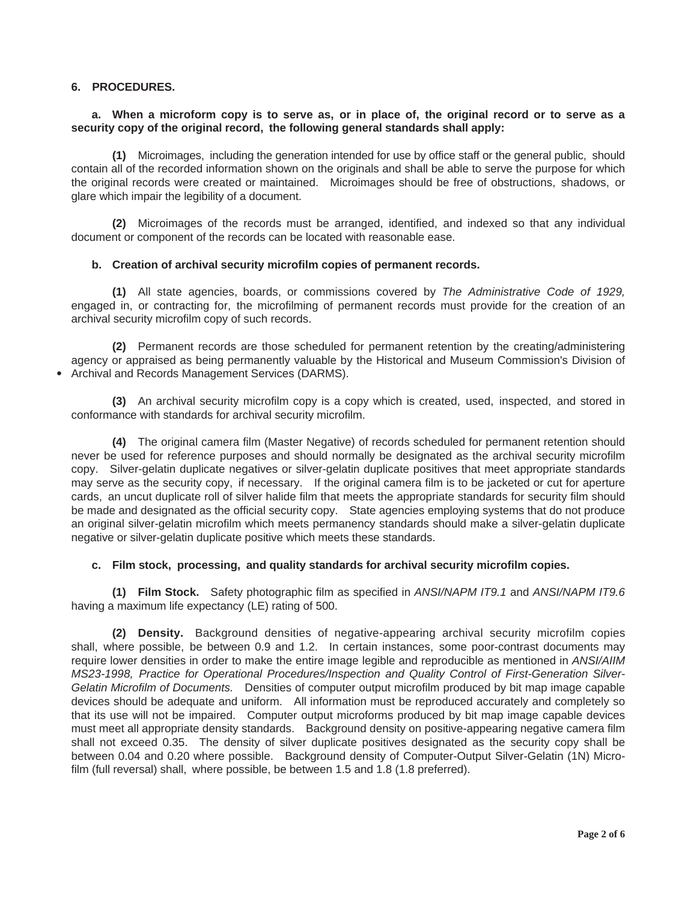# **6. PROCEDURES.**

**•**

# **a. When a microform copy is to serve as, or in place of, the original record or to serve as a security copy of the original record, the following general standards shall apply:**

**(1)** Microimages, including the generation intended for use by office staff or the general public, should contain all of the recorded information shown on the originals and shall be able to serve the purpose for which the original records were created or maintained. Microimages should be free of obstructions, shadows, or glare which impair the legibility of a document.

**(2)** Microimages of the records must be arranged, identified, and indexed so that any individual document or component of the records can be located with reasonable ease.

# **b. Creation of archival security microfilm copies of permanent records.**

**(1)** All state agencies, boards, or commissions covered by The Administrative Code of 1929, engaged in, or contracting for, the microfilming of permanent records must provide for the creation of an archival security microfilm copy of such records.

**(2)** Permanent records are those scheduled for permanent retention by the creating/administering agency or appraised as being permanently valuable by the Historical and Museum Commission's Division of Archival and Records Management Services (DARMS).

**(3)** An archival security microfilm copy is a copy which is created, used, inspected, and stored in conformance with standards for archival security microfilm.

**(4)** The original camera film (Master Negative) of records scheduled for permanent retention should never be used for reference purposes and should normally be designated as the archival security microfilm copy. Silver-gelatin duplicate negatives or silver-gelatin duplicate positives that meet appropriate standards may serve as the security copy, if necessary. If the original camera film is to be jacketed or cut for aperture cards, an uncut duplicate roll of silver halide film that meets the appropriate standards for security film should be made and designated as the official security copy. State agencies employing systems that do not produce an original silver-gelatin microfilm which meets permanency standards should make a silver-gelatin duplicate negative or silver-gelatin duplicate positive which meets these standards.

# **c. Film stock, processing, and quality standards for archival security microfilm copies.**

**(1) Film Stock.** Safety photographic film as specified in ANSI/NAPM IT9.1 and ANSI/NAPM IT9.6 having a maximum life expectancy (LE) rating of 500.

**(2) Density.** Background densities of negative-appearing archival security microfilm copies shall, where possible, be between 0.9 and 1.2. In certain instances, some poor-contrast documents may require lower densities in order to make the entire image legible and reproducible as mentioned in ANSI/AIIM MS23-1998, Practice for Operational Procedures/Inspection and Quality Control of First-Generation Silver-Gelatin Microfilm of Documents. Densities of computer output microfilm produced by bit map image capable devices should be adequate and uniform. All information must be reproduced accurately and completely so that its use will not be impaired. Computer output microforms produced by bit map image capable devices must meet all appropriate density standards. Background density on positive-appearing negative camera film shall not exceed 0.35. The density of silver duplicate positives designated as the security copy shall be between 0.04 and 0.20 where possible. Background density of Computer-Output Silver-Gelatin (1N) Microfilm (full reversal) shall, where possible, be between 1.5 and 1.8 (1.8 preferred).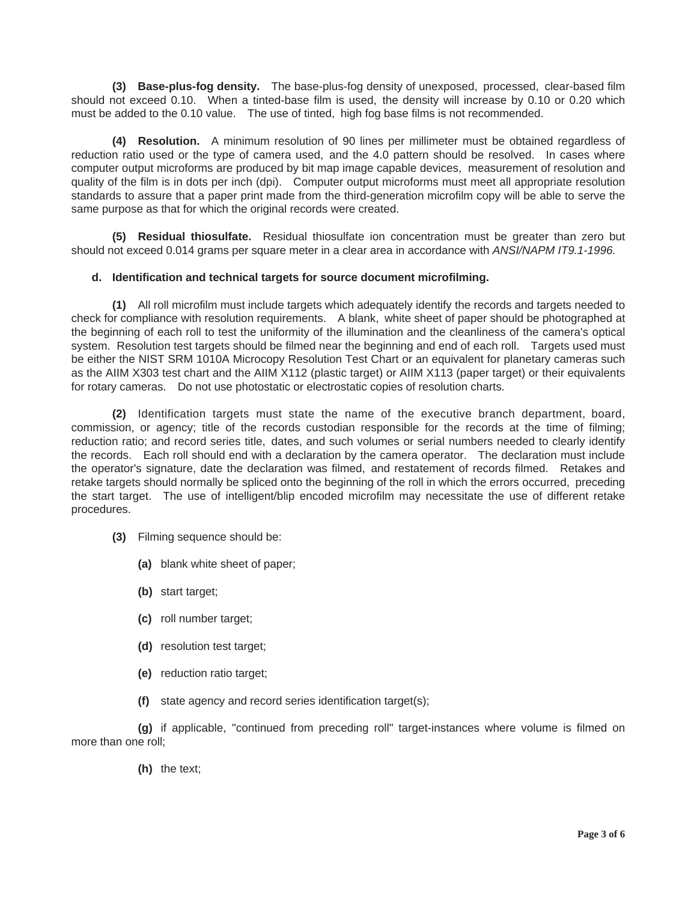**(3) Base-plus-fog density.** The base-plus-fog density of unexposed, processed, clear-based film should not exceed 0.10. When a tinted-base film is used, the density will increase by 0.10 or 0.20 which must be added to the 0.10 value. The use of tinted, high fog base films is not recommended.

**(4) Resolution.** A minimum resolution of 90 lines per millimeter must be obtained regardless of reduction ratio used or the type of camera used, and the 4.0 pattern should be resolved. In cases where computer output microforms are produced by bit map image capable devices, measurement of resolution and quality of the film is in dots per inch (dpi). Computer output microforms must meet all appropriate resolution standards to assure that a paper print made from the third-generation microfilm copy will be able to serve the same purpose as that for which the original records were created.

**(5) Residual thiosulfate.** Residual thiosulfate ion concentration must be greater than zero but should not exceed 0.014 grams per square meter in a clear area in accordance with ANSI/NAPM IT9.1-1996.

# **d. Identification and technical targets for source document microfilming.**

**(1)** All roll microfilm must include targets which adequately identify the records and targets needed to check for compliance with resolution requirements. A blank, white sheet of paper should be photographed at the beginning of each roll to test the uniformity of the illumination and the cleanliness of the camera's optical system. Resolution test targets should be filmed near the beginning and end of each roll. Targets used must be either the NIST SRM 1010A Microcopy Resolution Test Chart or an equivalent for planetary cameras such as the AIIM X303 test chart and the AIIM X112 (plastic target) or AIIM X113 (paper target) or their equivalents for rotary cameras. Do not use photostatic or electrostatic copies of resolution charts.

**(2)** Identification targets must state the name of the executive branch department, board, commission, or agency; title of the records custodian responsible for the records at the time of filming; reduction ratio; and record series title, dates, and such volumes or serial numbers needed to clearly identify the records. Each roll should end with a declaration by the camera operator. The declaration must include the operator's signature, date the declaration was filmed, and restatement of records filmed. Retakes and retake targets should normally be spliced onto the beginning of the roll in which the errors occurred, preceding the start target. The use of intelligent/blip encoded microfilm may necessitate the use of different retake procedures.

- **(3)** Filming sequence should be:
	- **(a)** blank white sheet of paper;
	- **(b)** start target;
	- **(c)** roll number target;
	- **(d)** resolution test target;
	- **(e)** reduction ratio target;
	- **(f)** state agency and record series identification target(s);

**(g)** if applicable, "continued from preceding roll" target-instances where volume is filmed on more than one roll;

**(h)** the text;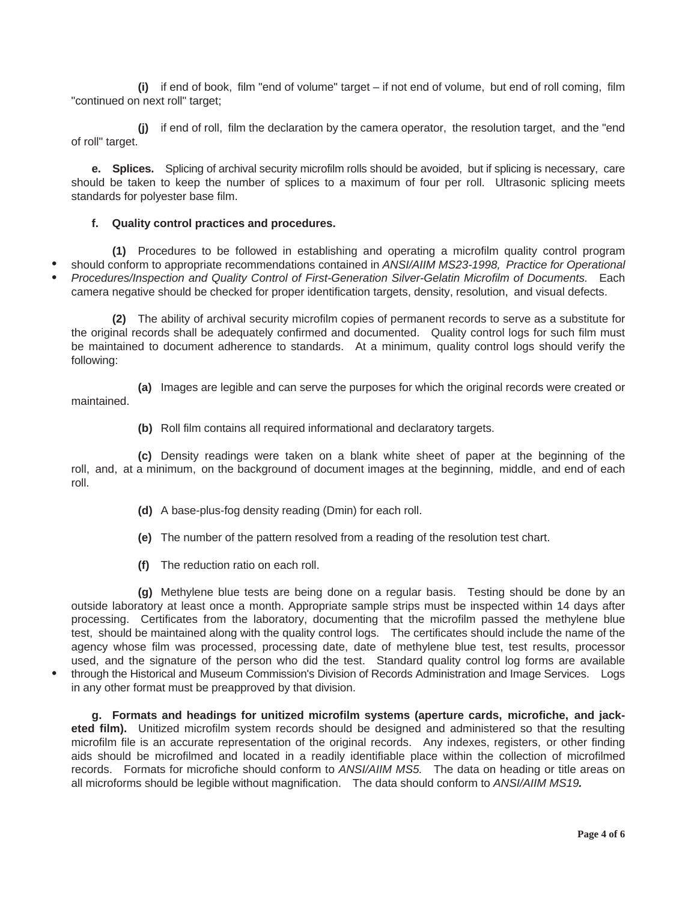**(i)** if end of book, film "end of volume" target – if not end of volume, but end of roll coming, film "continued on next roll" target;

**(j)** if end of roll, film the declaration by the camera operator, the resolution target, and the "end of roll" target.

**e. Splices.** Splicing of archival security microfilm rolls should be avoided, but if splicing is necessary, care should be taken to keep the number of splices to a maximum of four per roll. Ultrasonic splicing meets standards for polyester base film.

# **f. Quality control practices and procedures.**

**(1)** Procedures to be followed in establishing and operating a microfilm quality control program should conform to appropriate recommendations contained in ANSI/AIIM MS23-1998, Practice for Operational Procedures/Inspection and Quality Control of First-Generation Silver-Gelatin Microfilm of Documents. Each camera negative should be checked for proper identification targets, density, resolution, and visual defects. **• •**

**(2)** The ability of archival security microfilm copies of permanent records to serve as a substitute for the original records shall be adequately confirmed and documented. Quality control logs for such film must be maintained to document adherence to standards. At a minimum, quality control logs should verify the following:

**(a)** Images are legible and can serve the purposes for which the original records were created or maintained.

**(b)** Roll film contains all required informational and declaratory targets.

**(c)** Density readings were taken on a blank white sheet of paper at the beginning of the roll, and, at a minimum, on the background of document images at the beginning, middle, and end of each roll.

- **(d)** A base-plus-fog density reading (Dmin) for each roll.
- **(e)** The number of the pattern resolved from a reading of the resolution test chart.
- **(f)** The reduction ratio on each roll.

**•**

**(g)** Methylene blue tests are being done on a regular basis. Testing should be done by an outside laboratory at least once a month. Appropriate sample strips must be inspected within 14 days after processing. Certificates from the laboratory, documenting that the microfilm passed the methylene blue test, should be maintained along with the quality control logs. The certificates should include the name of the agency whose film was processed, processing date, date of methylene blue test, test results, processor used, and the signature of the person who did the test. Standard quality control log forms are available through the Historical and Museum Commission's Division of Records Administration and Image Services. Logs in any other format must be preapproved by that division.

**g. Formats and headings for unitized microfilm systems (aperture cards, microfiche, and jacketed film).** Unitized microfilm system records should be designed and administered so that the resulting microfilm file is an accurate representation of the original records. Any indexes, registers, or other finding aids should be microfilmed and located in a readily identifiable place within the collection of microfilmed records. Formats for microfiche should conform to ANSI/AIIM MS5. The data on heading or title areas on all microforms should be legible without magnification. The data should conform to ANSI/AIIM MS19**.**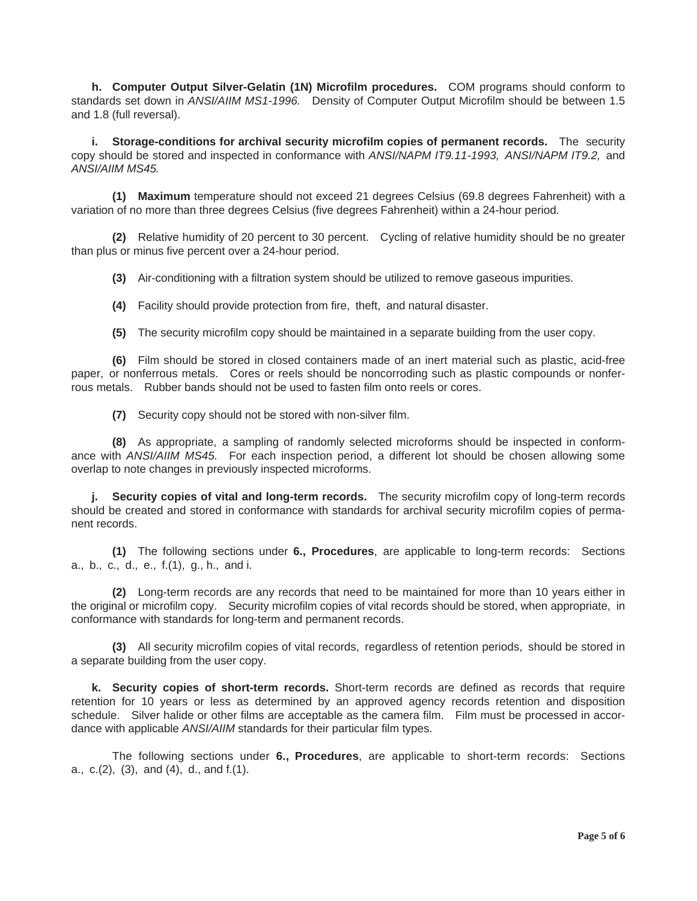**h. Computer Output Silver-Gelatin (1N) Microfilm procedures.** COM programs should conform to standards set down in ANSI/AIIM MS1-1996. Density of Computer Output Microfilm should be between 1.5 and 1.8 (full reversal).

**i. Storage-conditions for archival security microfilm copies of permanent records.** The security copy should be stored and inspected in conformance with ANSI/NAPM IT9.11-1993, ANSI/NAPM IT9.2, and ANSI/AIIM MS45.

**(1) Maximum** temperature should not exceed 21 degrees Celsius (69.8 degrees Fahrenheit) with a variation of no more than three degrees Celsius (five degrees Fahrenheit) within a 24-hour period.

**(2)** Relative humidity of 20 percent to 30 percent. Cycling of relative humidity should be no greater than plus or minus five percent over a 24-hour period.

**(3)** Air-conditioning with a filtration system should be utilized to remove gaseous impurities.

**(4)** Facility should provide protection from fire, theft, and natural disaster.

**(5)** The security microfilm copy should be maintained in a separate building from the user copy.

**(6)** Film should be stored in closed containers made of an inert material such as plastic, acid-free paper, or nonferrous metals. Cores or reels should be noncorroding such as plastic compounds or nonferrous metals. Rubber bands should not be used to fasten film onto reels or cores.

**(7)** Security copy should not be stored with non-silver film.

**(8)** As appropriate, a sampling of randomly selected microforms should be inspected in conformance with ANSI/AIIM MS45. For each inspection period, a different lot should be chosen allowing some overlap to note changes in previously inspected microforms.

**j. Security copies of vital and long-term records.** The security microfilm copy of long-term records should be created and stored in conformance with standards for archival security microfilm copies of permanent records.

**(1)** The following sections under **6., Procedures**, are applicable to long-term records: Sections a., b., c., d., e., f.(1), g., h., and i.

**(2)** Long-term records are any records that need to be maintained for more than 10 years either in the original or microfilm copy. Security microfilm copies of vital records should be stored, when appropriate, in conformance with standards for long-term and permanent records.

**(3)** All security microfilm copies of vital records, regardless of retention periods, should be stored in a separate building from the user copy.

**k. Security copies of short-term records.** Short-term records are defined as records that require retention for 10 years or less as determined by an approved agency records retention and disposition schedule. Silver halide or other films are acceptable as the camera film. Film must be processed in accordance with applicable ANSI/AIIM standards for their particular film types.

The following sections under **6., Procedures**, are applicable to short-term records: Sections a., c.(2), (3), and (4), d., and f.(1).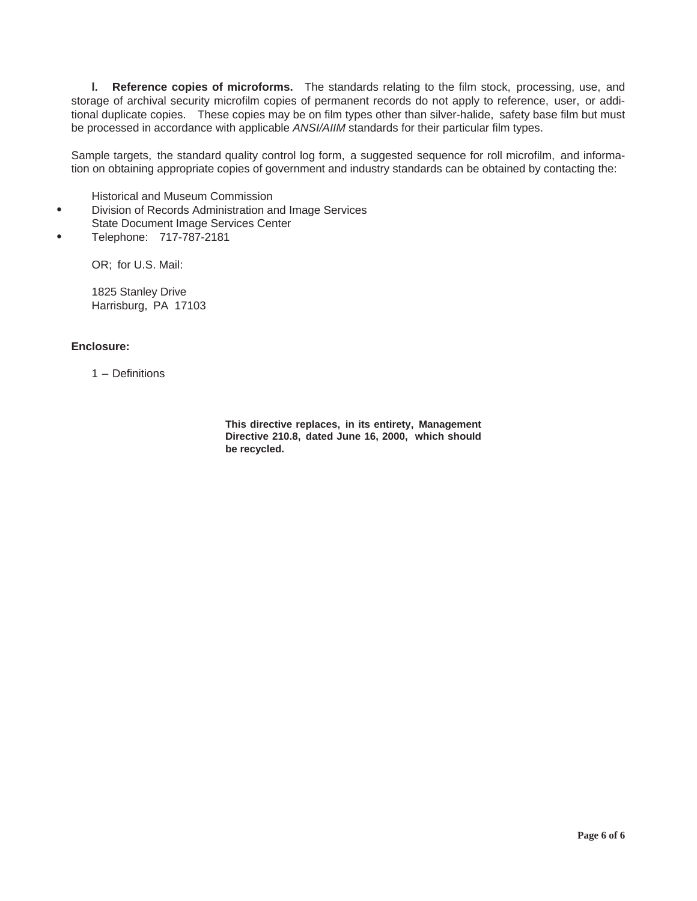**l. Reference copies of microforms.** The standards relating to the film stock, processing, use, and storage of archival security microfilm copies of permanent records do not apply to reference, user, or additional duplicate copies. These copies may be on film types other than silver-halide, safety base film but must be processed in accordance with applicable ANSI/AIIM standards for their particular film types.

Sample targets, the standard quality control log form, a suggested sequence for roll microfilm, and information on obtaining appropriate copies of government and industry standards can be obtained by contacting the:

Historical and Museum Commission

- Division of Records Administration and Image Services **•**
- State Document Image Services Center
- Telephone: 717-787-2181 **•**

OR; for U.S. Mail:

1825 Stanley Drive Harrisburg, PA 17103

# **Enclosure:**

1 – Definitions

**This directive replaces, in its entirety, Management Directive 210.8, dated June 16, 2000, which should be recycled.**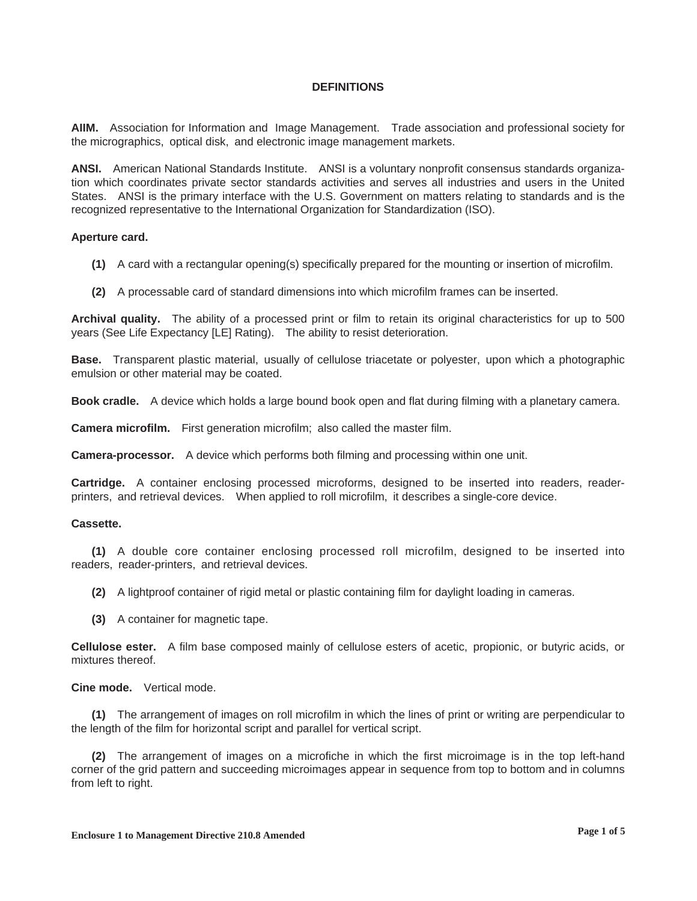# **DEFINITIONS**

**AIIM.** Association for Information and Image Management. Trade association and professional society for the micrographics, optical disk, and electronic image management markets.

**ANSI.** American National Standards Institute. ANSI is a voluntary nonprofit consensus standards organization which coordinates private sector standards activities and serves all industries and users in the United States. ANSI is the primary interface with the U.S. Government on matters relating to standards and is the recognized representative to the International Organization for Standardization (ISO).

#### **Aperture card.**

- **(1)** A card with a rectangular opening(s) specifically prepared for the mounting or insertion of microfilm.
- **(2)** A processable card of standard dimensions into which microfilm frames can be inserted.

**Archival quality.** The ability of a processed print or film to retain its original characteristics for up to 500 years (See Life Expectancy [LE] Rating). The ability to resist deterioration.

**Base.** Transparent plastic material, usually of cellulose triacetate or polyester, upon which a photographic emulsion or other material may be coated.

**Book cradle.** A device which holds a large bound book open and flat during filming with a planetary camera.

**Camera microfilm.** First generation microfilm; also called the master film.

**Camera-processor.** A device which performs both filming and processing within one unit.

**Cartridge.** A container enclosing processed microforms, designed to be inserted into readers, readerprinters, and retrieval devices. When applied to roll microfilm, it describes a single-core device.

# **Cassette.**

**(1)** A double core container enclosing processed roll microfilm, designed to be inserted into readers, reader-printers, and retrieval devices.

**(2)** A lightproof container of rigid metal or plastic containing film for daylight loading in cameras.

**(3)** A container for magnetic tape.

**Cellulose ester.** A film base composed mainly of cellulose esters of acetic, propionic, or butyric acids, or mixtures thereof.

**Cine mode.** Vertical mode.

**(1)** The arrangement of images on roll microfilm in which the lines of print or writing are perpendicular to the length of the film for horizontal script and parallel for vertical script.

**(2)** The arrangement of images on a microfiche in which the first microimage is in the top left-hand corner of the grid pattern and succeeding microimages appear in sequence from top to bottom and in columns from left to right.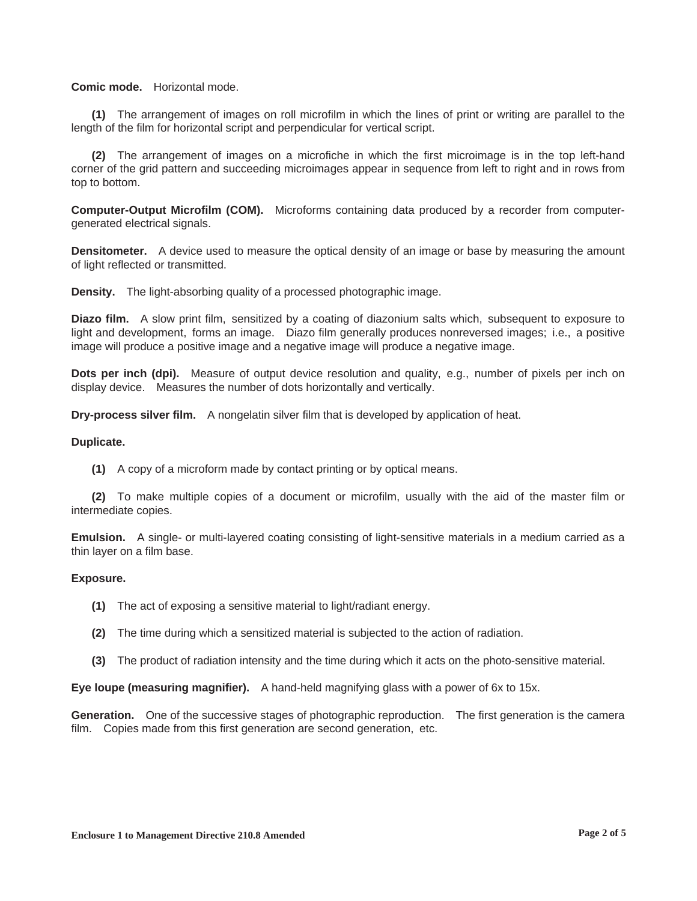### **Comic mode.** Horizontal mode.

**(1)** The arrangement of images on roll microfilm in which the lines of print or writing are parallel to the length of the film for horizontal script and perpendicular for vertical script.

**(2)** The arrangement of images on a microfiche in which the first microimage is in the top left-hand corner of the grid pattern and succeeding microimages appear in sequence from left to right and in rows from top to bottom.

**Computer-Output Microfilm (COM).** Microforms containing data produced by a recorder from computergenerated electrical signals.

**Densitometer.** A device used to measure the optical density of an image or base by measuring the amount of light reflected or transmitted.

**Density.** The light-absorbing quality of a processed photographic image.

**Diazo film.** A slow print film, sensitized by a coating of diazonium salts which, subsequent to exposure to light and development, forms an image. Diazo film generally produces nonreversed images; i.e., a positive image will produce a positive image and a negative image will produce a negative image.

**Dots per inch (dpi).** Measure of output device resolution and quality, e.g., number of pixels per inch on display device. Measures the number of dots horizontally and vertically.

**Dry-process silver film.** A nongelatin silver film that is developed by application of heat.

### **Duplicate.**

**(1)** A copy of a microform made by contact printing or by optical means.

**(2)** To make multiple copies of a document or microfilm, usually with the aid of the master film or intermediate copies.

**Emulsion.** A single- or multi-layered coating consisting of light-sensitive materials in a medium carried as a thin layer on a film base.

#### **Exposure.**

- **(1)** The act of exposing a sensitive material to light/radiant energy.
- **(2)** The time during which a sensitized material is subjected to the action of radiation.
- **(3)** The product of radiation intensity and the time during which it acts on the photo-sensitive material.

**Eye loupe (measuring magnifier).** A hand-held magnifying glass with a power of 6x to 15x.

**Generation.** One of the successive stages of photographic reproduction. The first generation is the camera film. Copies made from this first generation are second generation, etc.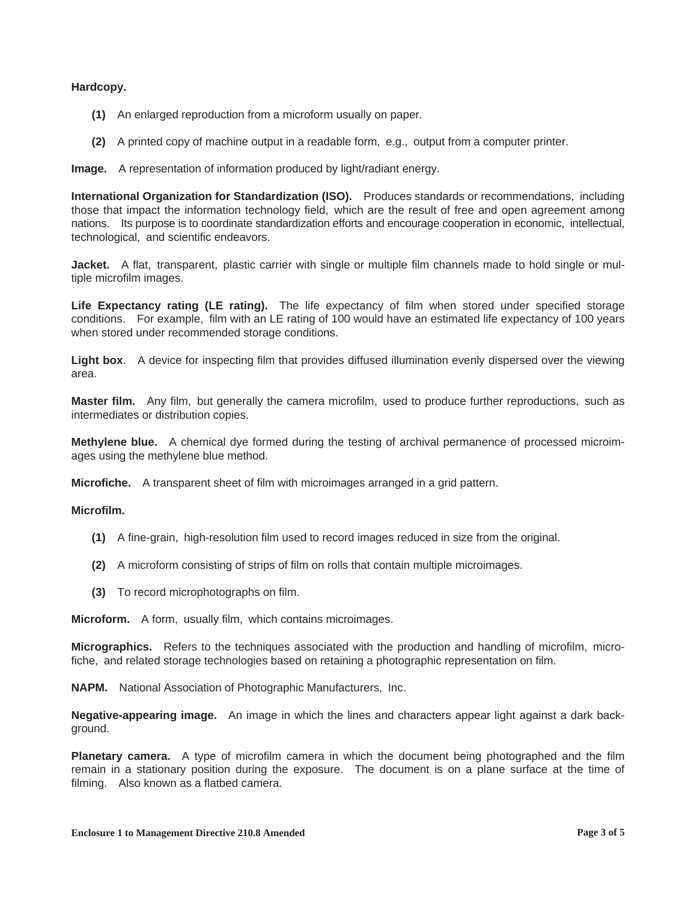# **Hardcopy.**

- **(1)** An enlarged reproduction from a microform usually on paper.
- **(2)** A printed copy of machine output in a readable form, e.g., output from a computer printer.

**Image.** A representation of information produced by light/radiant energy.

**International Organization for Standardization (ISO).** Produces standards or recommendations, including those that impact the information technology field, which are the result of free and open agreement among nations. Its purpose is to coordinate standardization efforts and encourage cooperation in economic, intellectual, technological, and scientific endeavors.

**Jacket.** A flat, transparent, plastic carrier with single or multiple film channels made to hold single or multiple microfilm images.

Life Expectancy rating (LE rating). The life expectancy of film when stored under specified storage conditions. For example, film with an LE rating of 100 would have an estimated life expectancy of 100 years when stored under recommended storage conditions.

**Light box**. A device for inspecting film that provides diffused illumination evenly dispersed over the viewing area.

**Master film.** Any film, but generally the camera microfilm, used to produce further reproductions, such as intermediates or distribution copies.

**Methylene blue.** A chemical dye formed during the testing of archival permanence of processed microimages using the methylene blue method.

**Microfiche.** A transparent sheet of film with microimages arranged in a grid pattern.

# **Microfilm.**

- **(1)** A fine-grain, high-resolution film used to record images reduced in size from the original.
- **(2)** A microform consisting of strips of film on rolls that contain multiple microimages.
- **(3)** To record microphotographs on film.

**Microform.** A form, usually film, which contains microimages.

**Micrographics.** Refers to the techniques associated with the production and handling of microfilm, microfiche, and related storage technologies based on retaining a photographic representation on film.

**NAPM.** National Association of Photographic Manufacturers, Inc.

**Negative-appearing image.** An image in which the lines and characters appear light against a dark background.

**Planetary camera.** A type of microfilm camera in which the document being photographed and the film remain in a stationary position during the exposure. The document is on a plane surface at the time of filming. Also known as a flatbed camera.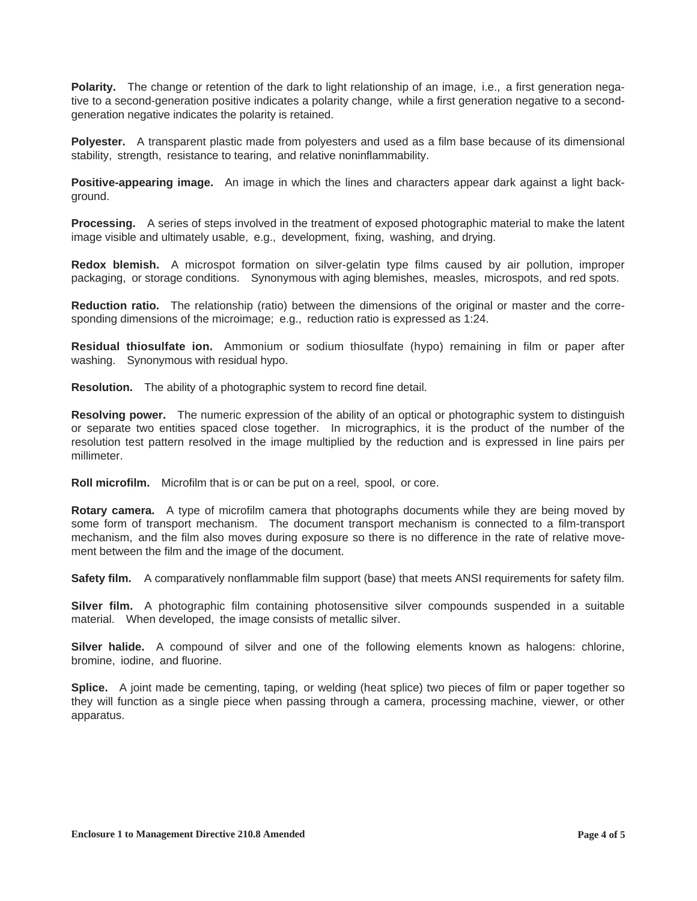**Polarity.** The change or retention of the dark to light relationship of an image, i.e., a first generation negative to a second-generation positive indicates a polarity change, while a first generation negative to a secondgeneration negative indicates the polarity is retained.

**Polyester.** A transparent plastic made from polyesters and used as a film base because of its dimensional stability, strength, resistance to tearing, and relative noninflammability.

**Positive-appearing image.** An image in which the lines and characters appear dark against a light background.

**Processing.** A series of steps involved in the treatment of exposed photographic material to make the latent image visible and ultimately usable, e.g., development, fixing, washing, and drying.

**Redox blemish.** A microspot formation on silver-gelatin type films caused by air pollution, improper packaging, or storage conditions. Synonymous with aging blemishes, measles, microspots, and red spots.

**Reduction ratio.** The relationship (ratio) between the dimensions of the original or master and the corresponding dimensions of the microimage; e.g., reduction ratio is expressed as 1:24.

**Residual thiosulfate ion.** Ammonium or sodium thiosulfate (hypo) remaining in film or paper after washing. Synonymous with residual hypo.

**Resolution.** The ability of a photographic system to record fine detail.

**Resolving power.** The numeric expression of the ability of an optical or photographic system to distinguish or separate two entities spaced close together. In micrographics, it is the product of the number of the resolution test pattern resolved in the image multiplied by the reduction and is expressed in line pairs per millimeter.

**Roll microfilm.** Microfilm that is or can be put on a reel, spool, or core.

**Rotary camera.** A type of microfilm camera that photographs documents while they are being moved by some form of transport mechanism. The document transport mechanism is connected to a film-transport mechanism, and the film also moves during exposure so there is no difference in the rate of relative movement between the film and the image of the document.

**Safety film.** A comparatively nonflammable film support (base) that meets ANSI requirements for safety film.

**Silver film.** A photographic film containing photosensitive silver compounds suspended in a suitable material. When developed, the image consists of metallic silver.

**Silver halide.** A compound of silver and one of the following elements known as halogens: chlorine, bromine, iodine, and fluorine.

**Splice.** A joint made be cementing, taping, or welding (heat splice) two pieces of film or paper together so they will function as a single piece when passing through a camera, processing machine, viewer, or other apparatus.